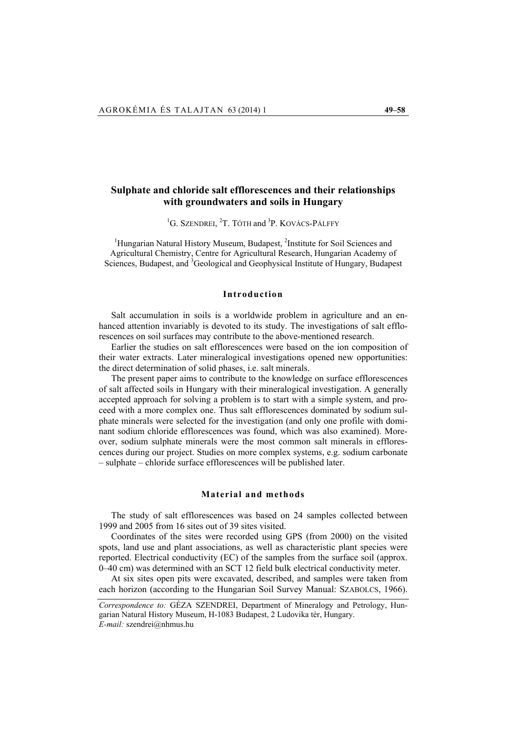# **Sulphate and chloride salt efflorescences and their relationships with groundwaters and soils in Hungary**

<sup>1</sup>G. SZENDREI, <sup>2</sup>T. TÓTH and <sup>3</sup>P. KOVÁCS-PÁLFFY

<sup>1</sup>Hungarian Natural History Museum, Budapest, <sup>2</sup>Institute for Soil Sciences and Agricultural Chemistry, Centre for Agricultural Research, Hungarian Academy of Sciences, Budapest, and <sup>3</sup>Geological and Geophysical Institute of Hungary, Budapest

#### **Introduction**

Salt accumulation in soils is a worldwide problem in agriculture and an enhanced attention invariably is devoted to its study. The investigations of salt efflorescences on soil surfaces may contribute to the above-mentioned research.

Earlier the studies on salt efflorescences were based on the ion composition of their water extracts. Later mineralogical investigations opened new opportunities: the direct determination of solid phases, i.e. salt minerals.

The present paper aims to contribute to the knowledge on surface efflorescences of salt affected soils in Hungary with their mineralogical investigation. A generally accepted approach for solving a problem is to start with a simple system, and proceed with a more complex one. Thus salt efflorescences dominated by sodium sulphate minerals were selected for the investigation (and only one profile with dominant sodium chloride efflorescences was found, which was also examined). Moreover, sodium sulphate minerals were the most common salt minerals in efflorescences during our project. Studies on more complex systems, e.g. sodium carbonate – sulphate – chloride surface efflorescences will be published later.

#### **Material and methods**

The study of salt efflorescences was based on 24 samples collected between 1999 and 2005 from 16 sites out of 39 sites visited.

Coordinates of the sites were recorded using GPS (from 2000) on the visited spots, land use and plant associations, as well as characteristic plant species were reported. Electrical conductivity (EC) of the samples from the surface soil (approx. 0–40 cm) was determined with an SCT 12 field bulk electrical conductivity meter.

At six sites open pits were excavated, described, and samples were taken from each horizon (according to the Hungarian Soil Survey Manual: SZABOLCS, 1966).

*Correspondence to:* GÉZA SZENDREI, Department of Mineralogy and Petrology, Hungarian Natural History Museum, H-1083 Budapest, 2 Ludovika tér, Hungary. *E-mail:* szendrei@nhmus.hu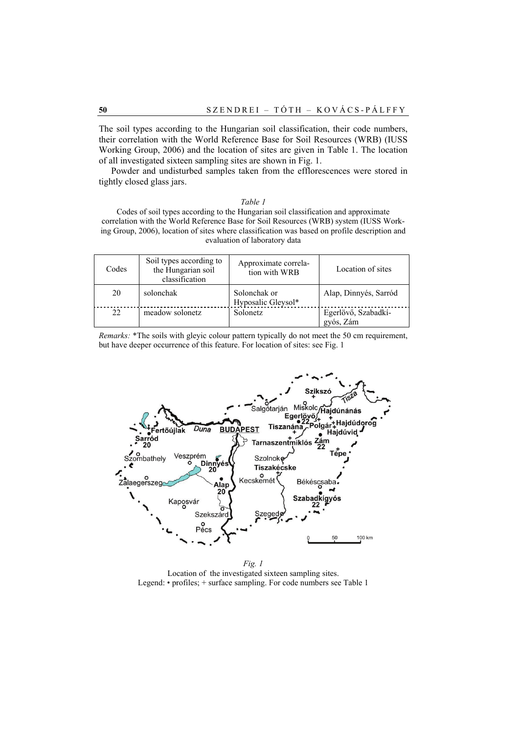The soil types according to the Hungarian soil classification, their code numbers, their correlation with the World Reference Base for Soil Resources (WRB) (IUSS Working Group, 2006) and the location of sites are given in Table 1. The location of all investigated sixteen sampling sites are shown in Fig. 1.

Powder and undisturbed samples taken from the efflorescences were stored in tightly closed glass jars.

| ſ. |  |
|----|--|
|----|--|

Codes of soil types according to the Hungarian soil classification and approximate correlation with the World Reference Base for Soil Resources (WRB) system (IUSS Working Group, 2006), location of sites where classification was based on profile description and evaluation of laboratory data

| Codes | Soil types according to<br>the Hungarian soil<br>classification | Approximate correla-<br>tion with WRB | Location of sites                |
|-------|-----------------------------------------------------------------|---------------------------------------|----------------------------------|
| 20    | solonchak                                                       | Solonchak or<br>Hyposalic Gleysol*    | Alap, Dinnyés, Sarród            |
| 22    | meadow solonetz                                                 | Solonetz                              | Egerlövő, Szabadkí-<br>gyós, Zám |

*Remarks:* \*The soils with gleyic colour pattern typically do not meet the 50 cm requirement, but have deeper occurrence of this feature. For location of sites: see Fig. 1



*Fig. 1*  Location of the investigated sixteen sampling sites. Legend: • profiles; + surface sampling. For code numbers see Table 1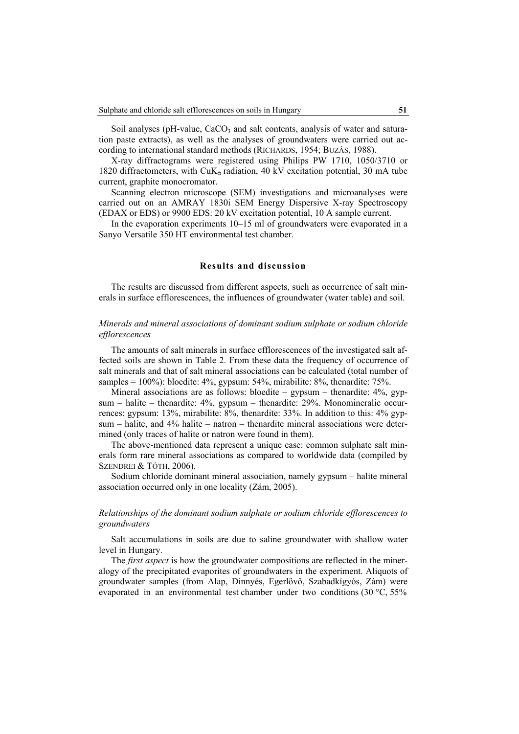Soil analyses ( $pH$ -value,  $CaCO<sub>3</sub>$  and salt contents, analysis of water and saturation paste extracts), as well as the analyses of groundwaters were carried out according to international standard methods (RICHARDS, 1954; BUZÁS, 1988).

X-ray diffractograms were registered using Philips PW 1710, 1050/3710 or 1820 diffractometers, with CuK<sub>6</sub> radiation, 40 kV excitation potential, 30 mA tube current, graphite monocromator.

Scanning electron microscope (SEM) investigations and microanalyses were carried out on an AMRAY 1830i SEM Energy Dispersive X-ray Spectroscopy (EDAX or EDS) or 9900 EDS: 20 kV excitation potential, 10 A sample current.

In the evaporation experiments 10–15 ml of groundwaters were evaporated in a Sanyo Versatile 350 HT environmental test chamber.

#### **Results and discussion**

The results are discussed from different aspects, such as occurrence of salt minerals in surface efflorescences, the influences of groundwater (water table) and soil.

# *Minerals and mineral associations of dominant sodium sulphate or sodium chloride efflorescences*

The amounts of salt minerals in surface efflorescences of the investigated salt affected soils are shown in Table 2. From these data the frequency of occurrence of salt minerals and that of salt mineral associations can be calculated (total number of samples = 100%): bloedite: 4%, gypsum: 54%, mirabilite: 8%, thenardite: 75%.

Mineral associations are as follows: bloedite – gypsum – thenardite:  $4\%$ , gypsum – halite – thenardite: 4%, gypsum – thenardite: 29%. Monomineralic occurrences: gypsum: 13%, mirabilite: 8%, thenardite: 33%. In addition to this: 4% gypsum – halite, and 4% halite – natron – thenardite mineral associations were determined (only traces of halite or natron were found in them).

The above-mentioned data represent a unique case: common sulphate salt minerals form rare mineral associations as compared to worldwide data (compiled by SZENDREI & TÓTH, 2006).

Sodium chloride dominant mineral association, namely gypsum – halite mineral association occurred only in one locality (Zám, 2005).

# *Relationships of the dominant sodium sulphate or sodium chloride efflorescences to groundwaters*

Salt accumulations in soils are due to saline groundwater with shallow water level in Hungary.

The *first aspect* is how the groundwater compositions are reflected in the mineralogy of the precipitated evaporites of groundwaters in the experiment. Aliquots of groundwater samples (from Alap, Dinnyés, Egerlövő, Szabadkígyós, Zám) were evaporated in an environmental test chamber under two conditions (30 °C, 55%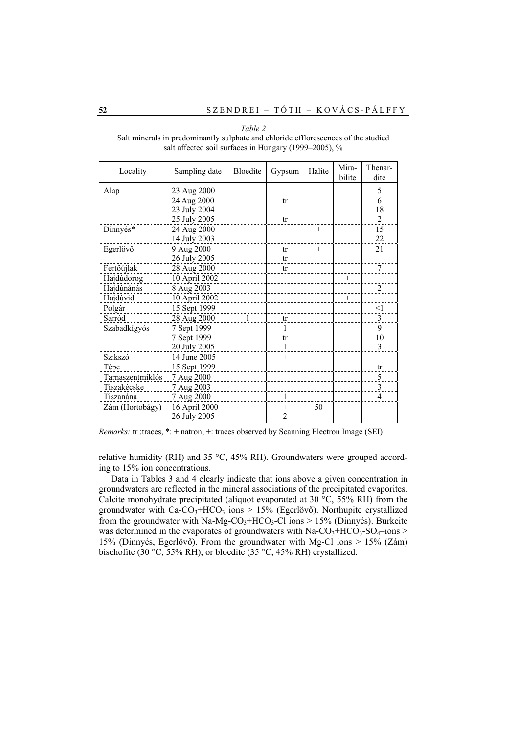| Locality         | Sampling date | Bloedite       | Gypsum         | Halite | Mira-<br>bilite | Thenar-<br>dite |
|------------------|---------------|----------------|----------------|--------|-----------------|-----------------|
| Alap             | 23 Aug 2000   |                |                |        |                 | 5               |
|                  | 24 Aug 2000   |                | tr             |        |                 | 6               |
|                  | 23 July 2004  |                |                |        |                 | 18              |
|                  | 25 July 2005  |                | tr             |        |                 | $\mathfrak{D}$  |
| Dinnyés*         | 24 Aug 2000   |                |                | $^{+}$ |                 | 15              |
|                  | 14 July 2003  |                |                |        |                 | 22              |
| Egerlövő         | 9 Aug 2000    |                | tr             | $^{+}$ |                 | 21              |
|                  | 26 July 2005  |                | tr             |        |                 |                 |
| Fertőújlak       | 28 Aug 2000   |                | tr             |        |                 | 7               |
| Hajdúdorog       | 10 April 2002 |                |                |        | $+$             |                 |
| Hajdúnánás       | 8 Aug 2003    |                |                |        |                 | $\overline{c}$  |
| Hajdúvid         | 10 April 2002 |                |                |        | $+$             |                 |
| Polgár           | 15 Sept 1999  |                |                |        |                 | <1              |
| Sarród           | 28 Aug 2000   | $\overline{1}$ | tr             |        |                 | 3               |
| Szabadkígyós     | 7 Sept 1999   |                |                |        |                 | 9               |
|                  | 7 Sept 1999   |                | tr             |        |                 | 10              |
|                  | 20 July 2005  |                | 1              |        |                 | 3               |
| Szikszó          | 14 June 2005  |                | $+$            |        |                 |                 |
| Tépe             | 15 Sept 1999  |                |                |        |                 | tr              |
| Tarnaszentmiklós | 7 Aug 2000    |                |                |        |                 | 5               |
| Tiszakécske      | 7 Aug 2003    |                |                |        |                 | 3               |
| Tiszanána        | 7 Aug 2000    |                | 1              |        |                 | $\overline{4}$  |
| Zám (Hortobágy)  | 16 April 2000 |                | $^{+}$         | 50     |                 |                 |
|                  | 26 July 2005  |                | $\mathfrak{D}$ |        |                 |                 |

*Table 2*  Salt minerals in predominantly sulphate and chloride efflorescences of the studied salt affected soil surfaces in Hungary (1999–2005), %

*Remarks: tr* :traces, \*: + natron; +: traces observed by Scanning Electron Image (SEI)

relative humidity (RH) and 35 °C, 45% RH). Groundwaters were grouped according to 15% ion concentrations.

Data in Tables 3 and 4 clearly indicate that ions above a given concentration in groundwaters are reflected in the mineral associations of the precipitated evaporites. Calcite monohydrate precipitated (aliquot evaporated at 30 °C, 55% RH) from the groundwater with  $Ca-CO<sub>3</sub>+HCO<sub>3</sub>$  ions  $> 15%$  (Egerlövő). Northupite crystallized from the groundwater with Na-Mg-CO<sub>3</sub>+HCO<sub>3</sub>-Cl ions > 15% (Dinnyés). Burkeite was determined in the evaporates of groundwaters with Na-CO<sub>3</sub>+HCO<sub>3</sub>-SO<sub>4</sub>–ions > 15% (Dinnyés, Egerlövő). From the groundwater with Mg-Cl ions > 15% (Zám) bischofite (30 °C, 55% RH), or bloedite (35 °C, 45% RH) crystallized.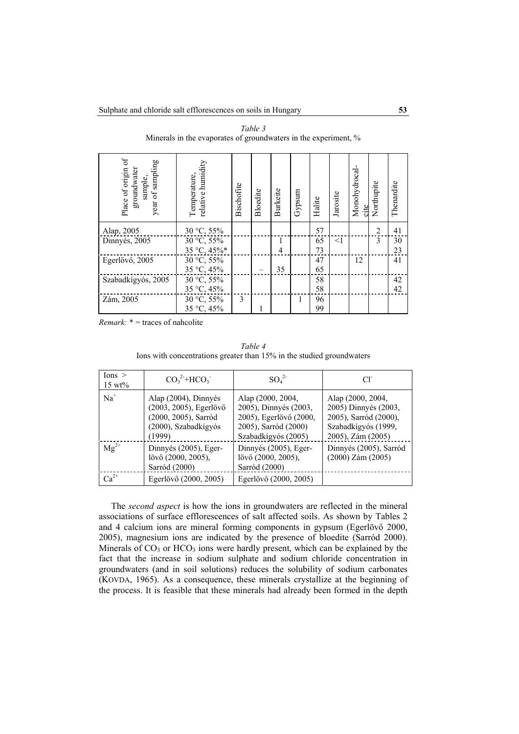| Place of origin of<br>year of sampling<br>groundwater<br>sample, | relative humidity<br>Temperature, | Bischofite   | Bloedite | <b>Burkeite</b> | Gypsum | Halite | Jarosite | Monohydrocal-<br>cite | Northupite     | Thenardite |
|------------------------------------------------------------------|-----------------------------------|--------------|----------|-----------------|--------|--------|----------|-----------------------|----------------|------------|
| Alap, 2005                                                       | 30 °C, 55%                        |              |          |                 |        | 57     |          |                       | $\overline{2}$ | 41         |
| Dinnyés, 2005                                                    | 30 °C, 55%                        |              |          | 1               |        | 65     | <1       |                       | $\mathcal{E}$  | 30         |
|                                                                  | 35 °C, 45%*                       |              |          | 4               |        | 73     |          |                       |                | 23         |
| Egerlövő, 2005                                                   | 30 °C, 55%                        |              |          |                 |        | 47     |          | 12                    |                | 41         |
|                                                                  | 35 °C, 45%                        |              |          | 35              |        | 65     |          |                       |                |            |
| Szabadkígyós, 2005                                               | $30^{\circ}$ C, 55%               |              |          |                 |        | 58     |          |                       |                | 42         |
|                                                                  | 35 °C, 45%                        |              |          |                 |        | 58     |          |                       |                | 42         |
| Zám, 2005                                                        | 30 °C, 55%                        | $\mathbf{3}$ |          |                 | 1      | 96     |          |                       |                |            |
|                                                                  | 35 °C, 45%                        |              |          |                 |        | 99     |          |                       |                |            |

*Table 3*  Minerals in the evaporates of groundwaters in the experiment, %

*Remark:* \* = traces of nahcolite

Sarród (2000)

Ca2+ Egerlövő (2000, 2005) Egerlövő (2000, 2005)

|                                  | lons with concentrations greater than 15% in the studied groundwaters |                        |                        |
|----------------------------------|-----------------------------------------------------------------------|------------------------|------------------------|
| $I$ ons $>$<br>$15 \text{ wt\%}$ | $CO32 + HCO3$                                                         | $SO_4^2$               | СF                     |
| $Na+$                            | Alap (2004), Dinnyés                                                  | Alap (2000, 2004,      | Alap (2000, 2004,      |
|                                  | (2003, 2005), Egerlövő                                                | 2005), Dinnyés (2003,  | 2005) Dinnyés (2003,   |
|                                  | (2000, 2005), Sarród                                                  | 2005), Egerlövő (2000, | 2005), Sarród (2000),  |
|                                  | (2000), Szabadkígyós                                                  | 2005), Sarród (2000)   | Szabadkígyós (1999,    |
|                                  | (1999)                                                                | Szabadkígyós (2005)    | 2005), Zám (2005)      |
| $Mg^{2+}$                        | Dinnyés (2005), Eger-                                                 | Dinnyés (2005), Eger-  | Dinnyés (2005), Sarród |
|                                  | lövő (2000, 2005),                                                    | lövő (2000, 2005),     | $(2000)$ Zám $(2005)$  |

Sarród (2000)

*Table 4*  Ions with concentrations greater than 15% in the studied groundwaters

The *second aspect* is how the ions in groundwaters are reflected in the mineral associations of surface efflorescences of salt affected soils. As shown by Tables 2 and 4 calcium ions are mineral forming components in gypsum (Egerlövő 2000, 2005), magnesium ions are indicated by the presence of bloedite (Sarród 2000). Minerals of  $CO<sub>3</sub>$  or  $HCO<sub>3</sub>$  ions were hardly present, which can be explained by the fact that the increase in sodium sulphate and sodium chloride concentration in groundwaters (and in soil solutions) reduces the solubility of sodium carbonates (KOVDA, 1965). As a consequence, these minerals crystallize at the beginning of the process. It is feasible that these minerals had already been formed in the depth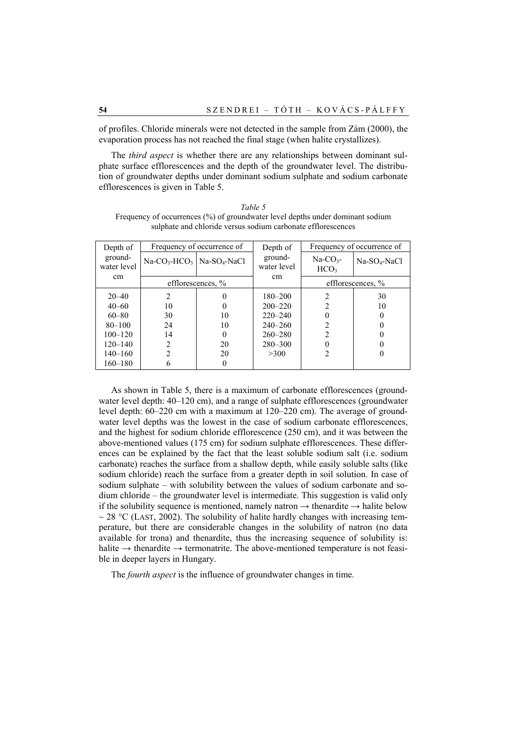of profiles. Chloride minerals were not detected in the sample from Zám (2000), the evaporation process has not reached the final stage (when halite crystallizes).

The *third aspect* is whether there are any relationships between dominant sulphate surface efflorescences and the depth of the groundwater level. The distribution of groundwater depths under dominant sodium sulphate and sodium carbonate efflorescences is given in Table 5.

|                                                              | Frequency of occurrences (%) of groundwater level depths under dominant sodium |  |  |  |  |  |  |  |
|--------------------------------------------------------------|--------------------------------------------------------------------------------|--|--|--|--|--|--|--|
| sulphate and chloride versus sodium carbonate efflorescences |                                                                                |  |  |  |  |  |  |  |
|                                                              |                                                                                |  |  |  |  |  |  |  |
|                                                              |                                                                                |  |  |  |  |  |  |  |

*Table 5* 

| Depth of               |                                        | Frequency of occurrence of | Depth of               | Frequency of occurrence of     |                   |  |
|------------------------|----------------------------------------|----------------------------|------------------------|--------------------------------|-------------------|--|
| ground-<br>water level | $Na-CO3-HCO3$ Na-SO <sub>4</sub> -NaCl |                            | ground-<br>water level | $Na-CO3$ -<br>HCO <sub>3</sub> | $Na-SO4-NaCl$     |  |
| cm                     |                                        | efflorescences, %          | cm                     |                                | efflorescences, % |  |
| $20 - 40$              |                                        |                            | 180-200                | 2                              | 30                |  |
| $40 - 60$              | 10                                     |                            | $200 - 220$            |                                | 10                |  |
| $60 - 80$              | 30                                     | 10                         | $220 - 240$            |                                |                   |  |
| $80 - 100$             | 24                                     | 10                         | $240 - 260$            |                                |                   |  |
| $100 - 120$            | 14                                     | 0                          | $260 - 280$            |                                |                   |  |
| $120 - 140$            | 2                                      | 20                         | $280 - 300$            |                                |                   |  |
| $140 - 160$            | ↑                                      | 20                         | >300                   |                                |                   |  |
| $160 - 180$            |                                        |                            |                        |                                |                   |  |

As shown in Table 5, there is a maximum of carbonate efflorescences (groundwater level depth:  $40-120$  cm), and a range of sulphate efflorescences (groundwater level depth: 60–220 cm with a maximum at 120–220 cm). The average of groundwater level depths was the lowest in the case of sodium carbonate efflorescences, and the highest for sodium chloride efflorescence (250 cm), and it was between the above-mentioned values (175 cm) for sodium sulphate efflorescences. These differences can be explained by the fact that the least soluble sodium salt (i.e. sodium carbonate) reaches the surface from a shallow depth, while easily soluble salts (like sodium chloride) reach the surface from a greater depth in soil solution. In case of sodium sulphate – with solubility between the values of sodium carbonate and sodium chloride – the groundwater level is intermediate. This suggestion is valid only if the solubility sequence is mentioned, namely natron  $\rightarrow$  thenardite  $\rightarrow$  halite below  $\sim$  28 °C (LAST, 2002). The solubility of halite hardly changes with increasing temperature, but there are considerable changes in the solubility of natron (no data available for trona) and thenardite, thus the increasing sequence of solubility is: halite  $\rightarrow$  thenardite  $\rightarrow$  termonatrite. The above-mentioned temperature is not feasible in deeper layers in Hungary.

The *fourth aspect* is the influence of groundwater changes in time.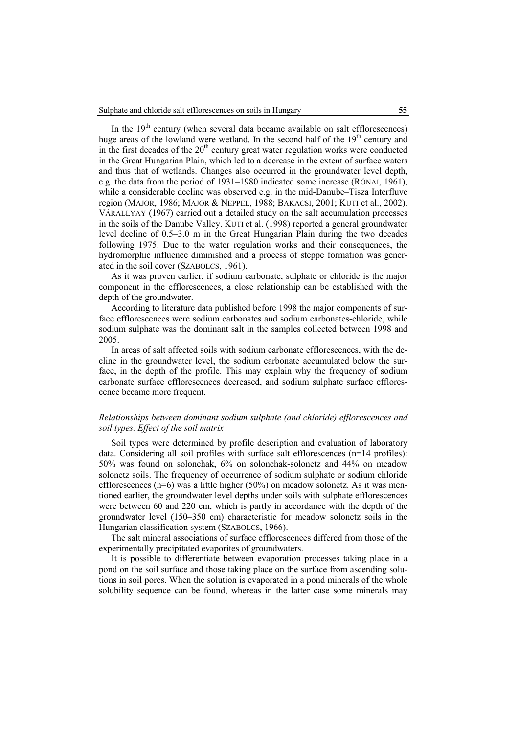In the  $19<sup>th</sup>$  century (when several data became available on salt efflorescences) huge areas of the lowland were wetland. In the second half of the  $19<sup>th</sup>$  century and in the first decades of the  $20<sup>th</sup>$  century great water regulation works were conducted in the Great Hungarian Plain, which led to a decrease in the extent of surface waters and thus that of wetlands. Changes also occurred in the groundwater level depth, e.g. the data from the period of 1931–1980 indicated some increase (RÓNAI, 1961), while a considerable decline was observed e.g. in the mid-Danube–Tisza Interfluve region (MAJOR, 1986; MAJOR & NEPPEL, 1988; BAKACSI, 2001; KUTI et al., 2002). VÁRALLYAY (1967) carried out a detailed study on the salt accumulation processes in the soils of the Danube Valley. KUTI et al. (1998) reported a general groundwater level decline of 0.5–3.0 m in the Great Hungarian Plain during the two decades following 1975. Due to the water regulation works and their consequences, the hydromorphic influence diminished and a process of steppe formation was generated in the soil cover (SZABOLCS, 1961).

As it was proven earlier, if sodium carbonate, sulphate or chloride is the major component in the efflorescences, a close relationship can be established with the depth of the groundwater.

According to literature data published before 1998 the major components of surface efflorescences were sodium carbonates and sodium carbonates-chloride, while sodium sulphate was the dominant salt in the samples collected between 1998 and 2005.

In areas of salt affected soils with sodium carbonate efflorescences, with the decline in the groundwater level, the sodium carbonate accumulated below the surface, in the depth of the profile. This may explain why the frequency of sodium carbonate surface efflorescences decreased, and sodium sulphate surface efflorescence became more frequent.

# *Relationships between dominant sodium sulphate (and chloride) efflorescences and soil types. Effect of the soil matrix*

Soil types were determined by profile description and evaluation of laboratory data. Considering all soil profiles with surface salt efflorescences (n=14 profiles): 50% was found on solonchak, 6% on solonchak-solonetz and 44% on meadow solonetz soils. The frequency of occurrence of sodium sulphate or sodium chloride efflorescences ( $n=6$ ) was a little higher (50%) on meadow solonetz. As it was mentioned earlier, the groundwater level depths under soils with sulphate efflorescences were between 60 and 220 cm, which is partly in accordance with the depth of the groundwater level (150–350 cm) characteristic for meadow solonetz soils in the Hungarian classification system (SZABOLCS, 1966).

The salt mineral associations of surface efflorescences differed from those of the experimentally precipitated evaporites of groundwaters.

It is possible to differentiate between evaporation processes taking place in a pond on the soil surface and those taking place on the surface from ascending solutions in soil pores. When the solution is evaporated in a pond minerals of the whole solubility sequence can be found, whereas in the latter case some minerals may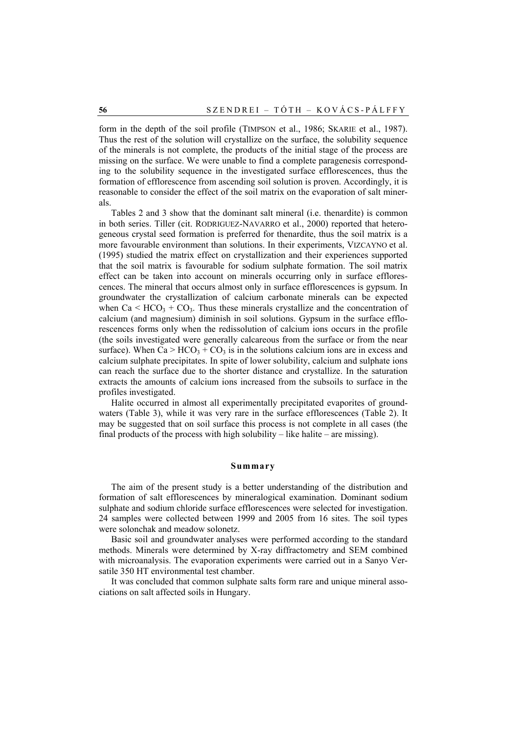form in the depth of the soil profile (TIMPSON et al., 1986; SKARIE et al., 1987). Thus the rest of the solution will crystallize on the surface, the solubility sequence of the minerals is not complete, the products of the initial stage of the process are missing on the surface. We were unable to find a complete paragenesis corresponding to the solubility sequence in the investigated surface efflorescences, thus the formation of efflorescence from ascending soil solution is proven. Accordingly, it is reasonable to consider the effect of the soil matrix on the evaporation of salt minerals.

Tables 2 and 3 show that the dominant salt mineral (i.e. thenardite) is common in both series. Tiller (cit. RODRIGUEZ-NAVARRO et al., 2000) reported that heterogeneous crystal seed formation is preferred for thenardite, thus the soil matrix is a more favourable environment than solutions. In their experiments, VIZCAYNO et al. (1995) studied the matrix effect on crystallization and their experiences supported that the soil matrix is favourable for sodium sulphate formation. The soil matrix effect can be taken into account on minerals occurring only in surface efflorescences. The mineral that occurs almost only in surface efflorescences is gypsum. In groundwater the crystallization of calcium carbonate minerals can be expected when  $Ca < HCO<sub>3</sub> + CO<sub>3</sub>$ . Thus these minerals crystallize and the concentration of calcium (and magnesium) diminish in soil solutions. Gypsum in the surface efflorescences forms only when the redissolution of calcium ions occurs in the profile (the soils investigated were generally calcareous from the surface or from the near surface). When  $Ca > HCO<sub>3</sub> + CO<sub>3</sub>$  is in the solutions calcium ions are in excess and calcium sulphate precipitates. In spite of lower solubility, calcium and sulphate ions can reach the surface due to the shorter distance and crystallize. In the saturation extracts the amounts of calcium ions increased from the subsoils to surface in the profiles investigated.

Halite occurred in almost all experimentally precipitated evaporites of groundwaters (Table 3), while it was very rare in the surface efflorescences (Table 2). It may be suggested that on soil surface this process is not complete in all cases (the final products of the process with high solubility – like halite – are missing).

### **Summary**

The aim of the present study is a better understanding of the distribution and formation of salt efflorescences by mineralogical examination. Dominant sodium sulphate and sodium chloride surface efflorescences were selected for investigation. 24 samples were collected between 1999 and 2005 from 16 sites. The soil types were solonchak and meadow solonetz.

Basic soil and groundwater analyses were performed according to the standard methods. Minerals were determined by X-ray diffractometry and SEM combined with microanalysis. The evaporation experiments were carried out in a Sanyo Versatile 350 HT environmental test chamber.

It was concluded that common sulphate salts form rare and unique mineral associations on salt affected soils in Hungary.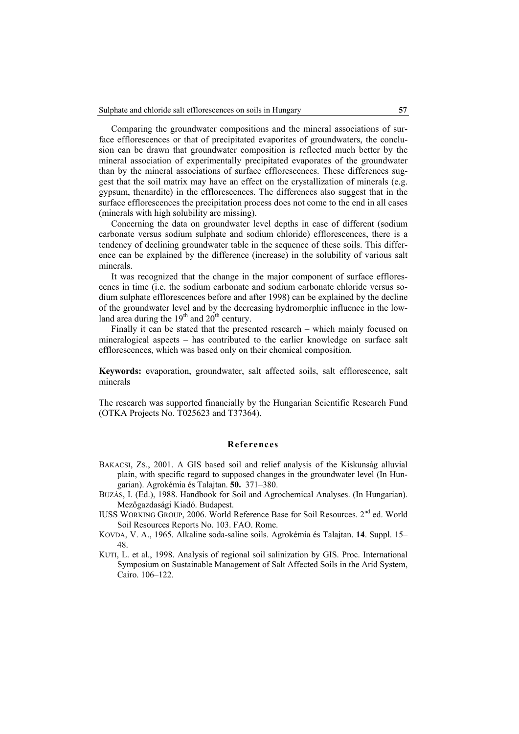Comparing the groundwater compositions and the mineral associations of surface efflorescences or that of precipitated evaporites of groundwaters, the conclusion can be drawn that groundwater composition is reflected much better by the mineral association of experimentally precipitated evaporates of the groundwater than by the mineral associations of surface efflorescences. These differences suggest that the soil matrix may have an effect on the crystallization of minerals (e.g. gypsum, thenardite) in the efflorescences. The differences also suggest that in the surface efflorescences the precipitation process does not come to the end in all cases (minerals with high solubility are missing).

Concerning the data on groundwater level depths in case of different (sodium carbonate versus sodium sulphate and sodium chloride) efflorescences, there is a tendency of declining groundwater table in the sequence of these soils. This difference can be explained by the difference (increase) in the solubility of various salt minerals.

It was recognized that the change in the major component of surface efflorescenes in time (i.e. the sodium carbonate and sodium carbonate chloride versus sodium sulphate efflorescences before and after 1998) can be explained by the decline of the groundwater level and by the decreasing hydromorphic influence in the lowland area during the  $19<sup>th</sup>$  and  $20<sup>th</sup>$  century.

Finally it can be stated that the presented research – which mainly focused on mineralogical aspects – has contributed to the earlier knowledge on surface salt efflorescences, which was based only on their chemical composition.

**Keywords:** evaporation, groundwater, salt affected soils, salt efflorescence, salt minerals

The research was supported financially by the Hungarian Scientific Research Fund (OTKA Projects No. T025623 and T37364).

# **References**

- BAKACSI, ZS., 2001. A GIS based soil and relief analysis of the Kiskunság alluvial plain, with specific regard to supposed changes in the groundwater level (In Hungarian). Agrokémia és Talajtan. **50.** 371–380.
- BUZÁS, I. (Ed.), 1988. Handbook for Soil and Agrochemical Analyses. (In Hungarian). Mezőgazdasági Kiadó. Budapest.

IUSS WORKING GROUP, 2006. World Reference Base for Soil Resources. 2nd ed. World Soil Resources Reports No. 103. FAO. Rome.

- KOVDA, V. A., 1965. Alkaline soda-saline soils. Agrokémia és Talajtan. **14**. Suppl. 15– 48.
- KUTI, L. et al., 1998. Analysis of regional soil salinization by GIS. Proc. International Symposium on Sustainable Management of Salt Affected Soils in the Arid System, Cairo. 106–122.